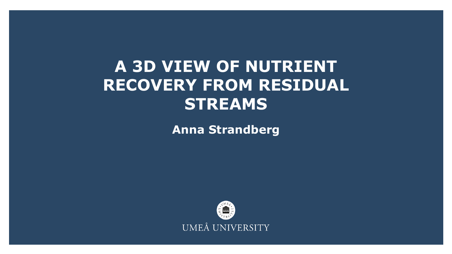## **A 3D VIEW OF NUTRIENT RECOVERY FROM RESIDUAL STREAMS**

**Anna Strandberg**

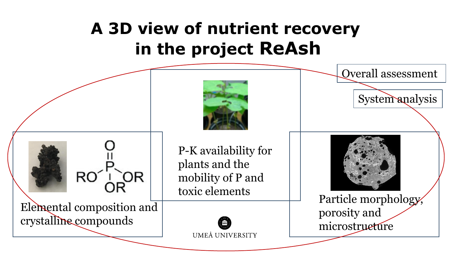# **A 3D view of nutrient recovery in the project ReAsh**

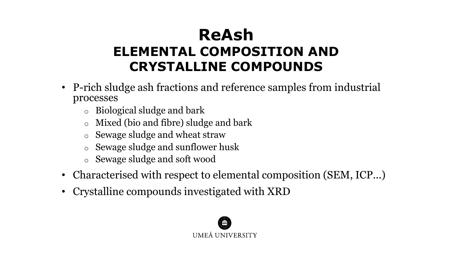### **ReAsh ELEMENTAL COMPOSITION AND CRYSTALLINE COMPOUNDS**

- P-rich sludge ash fractions and reference samples from industrial processes
	- o Biological sludge and bark
	- Mixed (bio and fibre) sludge and bark
	- o Sewage sludge and wheat straw
	- o Sewage sludge and sunflower husk
	- o Sewage sludge and soft wood
- Characterised with respect to elemental composition (SEM, ICP...)
- Crystalline compounds investigated with XRD

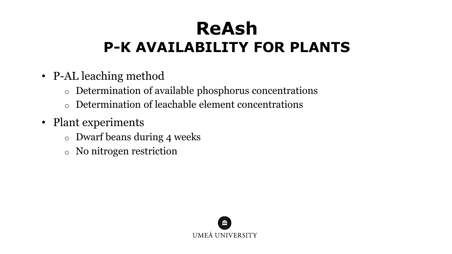# **ReAsh P-K AVAILABILITY FOR PLANTS**

- P-AL leaching method
	- o Determination of available phosphorus concentrations
	- o Determination of leachable element concentrations
- Plant experiments
	- o Dwarf beans during 4 weeks
	- o No nitrogen restriction

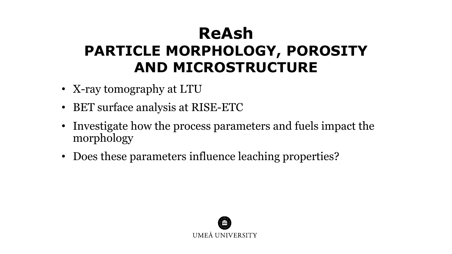## **ReAsh PARTICLE MORPHOLOGY, POROSITY AND MICROSTRUCTURE**

- X-ray tomography at LTU
- BET surface analysis at RISE-ETC
- Investigate how the process parameters and fuels impact the morphology
- Does these parameters influence leaching properties?

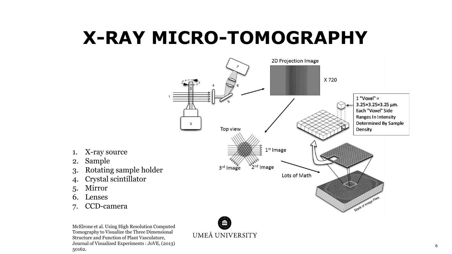# **X-RAY MICRO-TOMOGRAPHY**



- 1. X-ray source
- 2. Sample
- 3. Rotating sample holder
- 4. Crystal scintillator
- 5. Mirror
- 6. Lenses
- 7. CCD-camera

McElrone et al. Using High Resolution Computed Tomography to Visualize the Three Dimensional Structure and Function of Plant Vasculature, Journal of Visualized Experiments : JoVE, (2013) 50162.

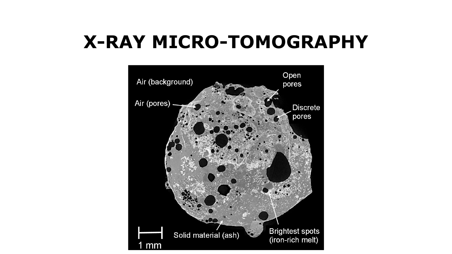# **X-RAY MICRO-TOMOGRAPHY**

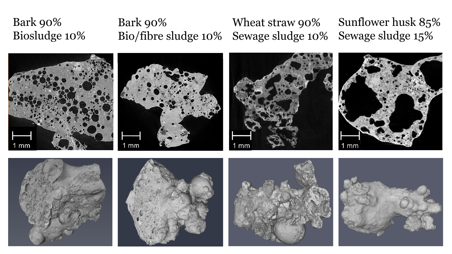### Bark 90% Biosludge 10% Bark 90% Bio/fibre sludge 10% Wheat straw 90% Sewage sludge 10% Sunflower husk 85% Sewage sludge 15%















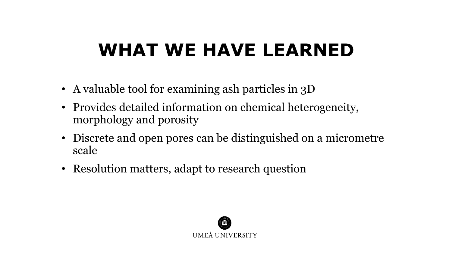# **WHAT WE HAVE LEARNED**

- A valuable tool for examining ash particles in 3D
- Provides detailed information on chemical heterogeneity, morphology and porosity
- Discrete and open pores can be distinguished on a micrometre scale
- Resolution matters, adapt to research question

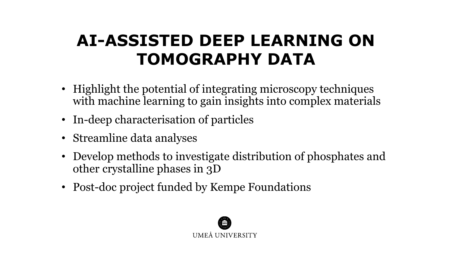## **AI-ASSISTED DEEP LEARNING ON TOMOGRAPHY DATA**

- Highlight the potential of integrating microscopy techniques with machine learning to gain insights into complex materials
- In-deep characterisation of particles
- Streamline data analyses
- Develop methods to investigate distribution of phosphates and other crystalline phases in 3D
- Post-doc project funded by Kempe Foundations

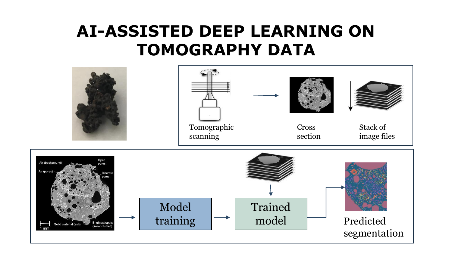### **AI-ASSISTED DEEP LEARNING ON TOMOGRAPHY DATA**

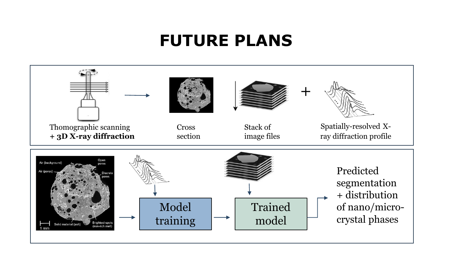### **FUTURE PLANS**